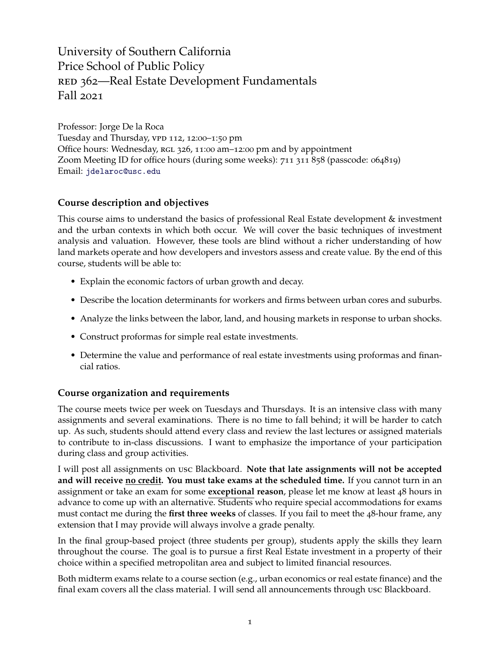University of Southern California Price School of Public Policy RED 362—Real Estate Development Fundamentals Fall 2021

Professor: Jorge De la Roca Tuesday and Thursday, vpp 112, 12:00-1:50 pm Office hours: Wednesday, RGL 326, 11:00 am-12:00 pm and by appointment Zoom Meeting ID for office hours (during some weeks): 711 311 858 (passcode: 064819) Email: [jdelaroc@usc.edu](mailto:jdelaroc@usc.edu)

# **Course description and objectives**

This course aims to understand the basics of professional Real Estate development & investment and the urban contexts in which both occur. We will cover the basic techniques of investment analysis and valuation. However, these tools are blind without a richer understanding of how land markets operate and how developers and investors assess and create value. By the end of this course, students will be able to:

- Explain the economic factors of urban growth and decay.
- Describe the location determinants for workers and firms between urban cores and suburbs.
- Analyze the links between the labor, land, and housing markets in response to urban shocks.
- Construct proformas for simple real estate investments.
- Determine the value and performance of real estate investments using proformas and financial ratios.

# **Course organization and requirements**

The course meets twice per week on Tuesdays and Thursdays. It is an intensive class with many assignments and several examinations. There is no time to fall behind; it will be harder to catch up. As such, students should attend every class and review the last lectures or assigned materials to contribute to in-class discussions. I want to emphasize the importance of your participation during class and group activities.

I will post all assignments on usc Blackboard. **Note that late assignments will not be accepted and will receive no credit. You must take exams at the scheduled time.** If you cannot turn in an assignment or take an exam for some **exceptional reason**, please let me know at least 48 hours in advance to come up with an alternative. Students who require special accommodations for exams must contact me during the **first three weeks** of classes. If you fail to meet the 48-hour frame, any extension that I may provide will always involve a grade penalty.

In the final group-based project (three students per group), students apply the skills they learn throughout the course. The goal is to pursue a first Real Estate investment in a property of their choice within a specified metropolitan area and subject to limited financial resources.

Both midterm exams relate to a course section (e.g., urban economics or real estate finance) and the final exam covers all the class material. I will send all announcements through usc Blackboard.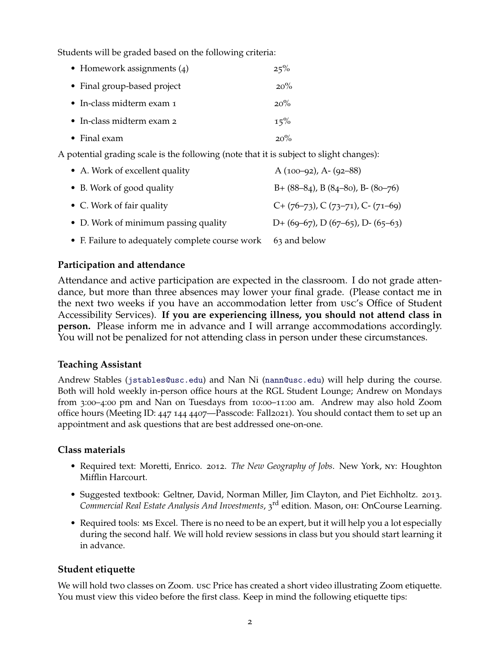Students will be graded based on the following criteria:

| • Homework assignments $(4)$      | 25%    |
|-----------------------------------|--------|
| • Final group-based project       | $20\%$ |
| • In-class midterm exam $\tau$    | $20\%$ |
| $\bullet$ In-class midterm exam 2 | 15%    |
| $\bullet$ Final exam              | $20\%$ |

A potential grading scale is the following (note that it is subject to slight changes):

| • A. Work of excellent quality                  | A $(100-92)$ , A- $(92-88)$               |
|-------------------------------------------------|-------------------------------------------|
| • B. Work of good quality                       | $B + (88-84)$ , B $(84-80)$ , B $(80-76)$ |
| • C. Work of fair quality                       | $C+(76-73)$ , $C(73-71)$ , $C-(71-69)$    |
| • D. Work of minimum passing quality            | D+ $(69-67)$ , D $(67-65)$ , D- $(65-63)$ |
| • F. Failure to adequately complete course work | 63 and below                              |

# **Participation and attendance**

Attendance and active participation are expected in the classroom. I do not grade attendance, but more than three absences may lower your final grade. (Please contact me in the next two weeks if you have an accommodation letter from usc's Office of Student Accessibility Services). **If you are experiencing illness, you should not attend class in person.** Please inform me in advance and I will arrange accommodations accordingly. You will not be penalized for not attending class in person under these circumstances.

# **Teaching Assistant**

Andrew Stables ([jstables@usc.edu](mailto:jstables@usc.edu)) and Nan Ni ([nann@usc.edu](mailto:nann@usc.edu)) will help during the course. Both will hold weekly in-person office hours at the RGL Student Lounge; Andrew on Mondays from 3:00–4:00 pm and Nan on Tuesdays from 10:00–11:00 am. Andrew may also hold Zoom office hours (Meeting ID: 447 144 4407—Passcode: Fall2021). You should contact them to set up an appointment and ask questions that are best addressed one-on-one.

# **Class materials**

- Required text: Moretti, Enrico. 2012. *The New Geography of Jobs*. New York, ny: Houghton Mifflin Harcourt.
- Suggested textbook: Geltner, David, Norman Miller, Jim Clayton, and Piet Eichholtz. 2013. *Commercial Real Estate Analysis And Investments*, 3 rd edition. Mason, oh: OnCourse Learning.
- Required tools: MS Excel. There is no need to be an expert, but it will help you a lot especially during the second half. We will hold review sessions in class but you should start learning it in advance.

# **Student etiquette**

We will hold two classes on Zoom. usc Price has created a short video illustrating Zoom etiquette. You must view this video before the first class. Keep in mind the following etiquette tips: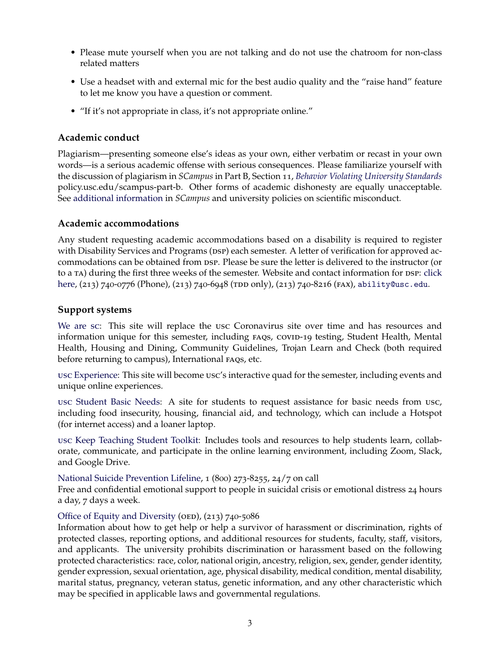- Please mute yourself when you are not talking and do not use the chatroom for non-class related matters
- Use a headset with and external mic for the best audio quality and the "raise hand" feature to let me know you have a question or comment.
- "If it's not appropriate in class, it's not appropriate online."

# **Academic conduct**

Plagiarism—presenting someone else's ideas as your own, either verbatim or recast in your own words—is a serious academic offense with serious consequences. Please familiarize yourself with the discussion of plagiarism in *SCampus* in Part B, Section 11, *[Behavior Violating University Standards](https://policy.usc.edu/scampus-part-b/)* policy.usc.edu/scampus-part-b. Other forms of academic dishonesty are equally unacceptable. See [additional information](http://policy.usc.edu/scientific-misconduct/) in *SCampus* and university policies on scientific misconduct.

# **Academic accommodations**

Any student requesting academic accommodations based on a disability is required to register with Disability Services and Programs (psp) each semester. A letter of verification for approved accommodations can be obtained from psp. Please be sure the letter is delivered to the instructor (or to a TA) during the first three weeks of the semester. Website and contact information for DSP: [click](http://sait.usc.edu/academicsupport/centerprograms/dsp/home_index.html) [here,](http://sait.usc.edu/academicsupport/centerprograms/dsp/home_index.html) (213) 740-0776 (Phone), (213) 740-6948 (TDD only), (213) 740-8216 (FAX), [ability@usc.edu](mailto:ability@usc.edu).

# **Support systems**

[We are](https://we-are.usc.edu) sc: This site will replace the usc Coronavirus site over time and has resources and information unique for this semester, including FAQs, covin-19 testing, Student Health, Mental Health, Housing and Dining, Community Guidelines, Trojan Learn and Check (both required before returning to campus), International FAQS, etc.

usc [Experience:](https://we-are.usc.edu/welcome-experience/) This site will become usc's interactive quad for the semester, including events and unique online experiences.

usc [Student Basic Needs:](https://studentbasicneeds.usc.edu) A site for students to request assistance for basic needs from usc, including food insecurity, housing, financial aid, and technology, which can include a Hotspot (for internet access) and a loaner laptop.

usc [Keep Teaching Student Toolkit:](https://keepteaching.usc.edu/students/student-toolkit/) Includes tools and resources to help students learn, collaborate, communicate, and participate in the online learning environment, including Zoom, Slack, and Google Drive.

#### [National Suicide Prevention Lifeline,](https://suicidepreventionlifeline.org) 1 (800) 273-8255, 24/7 on call

Free and confidential emotional support to people in suicidal crisis or emotional distress 24 hours a day, 7 days a week.

# [Office of Equity and Diversity](https://equity.usc.edu) (OED),  $(213)$  740-5086

Information about how to get help or help a survivor of harassment or discrimination, rights of protected classes, reporting options, and additional resources for students, faculty, staff, visitors, and applicants. The university prohibits discrimination or harassment based on the following protected characteristics: race, color, national origin, ancestry, religion, sex, gender, gender identity, gender expression, sexual orientation, age, physical disability, medical condition, mental disability, marital status, pregnancy, veteran status, genetic information, and any other characteristic which may be specified in applicable laws and governmental regulations.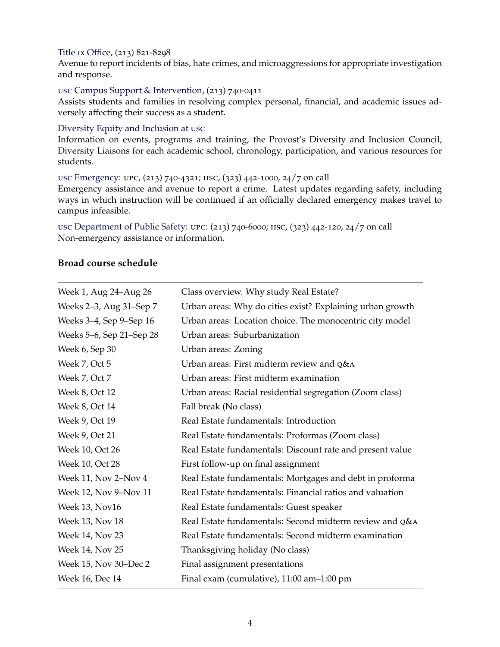### Title ix [Office,](https://titleix.usc.edu) (213) 821-8298

Avenue to report incidents of bias, hate crimes, and microaggressions for appropriate investigation and response.

#### usc [Campus Support & Intervention,](https://campussupport.usc.edu) (213) 740-0411

Assists students and families in resolving complex personal, financial, and academic issues adversely affecting their success as a student.

#### [Diversity Equity and Inclusion at](https://diversity.usc.edu) usc

Information on events, programs and training, the Provost's Diversity and Inclusion Council, Diversity Liaisons for each academic school, chronology, participation, and various resources for students.

# usc [Emergency:](https://emergency.usc.edu) upc, (213) 740-4321; hsc, (323) 442-1000, 24/7 on call

Emergency assistance and avenue to report a crime. Latest updates regarding safety, including ways in which instruction will be continued if an officially declared emergency makes travel to campus infeasible.

usc [Department of Public Safety:](https://dps.usc.edu) upc: (213) 740-6000; hsc, (323) 442-120, 24/7 on call Non-emergency assistance or information.

# **Broad course schedule**

| Week 1, Aug 24–Aug 26    | Class overview. Why study Real Estate?                    |
|--------------------------|-----------------------------------------------------------|
| Weeks 2–3, Aug 31–Sep 7  | Urban areas: Why do cities exist? Explaining urban growth |
| Weeks 3–4, Sep 9–Sep 16  | Urban areas: Location choice. The monocentric city model  |
| Weeks 5-6, Sep 21-Sep 28 | Urban areas: Suburbanization                              |
| Week 6, Sep 30           | Urban areas: Zoning                                       |
| Week 7, Oct 5            | Urban areas: First midterm review and Q&A                 |
| Week 7, Oct 7            | Urban areas: First midterm examination                    |
| Week 8, Oct 12           | Urban areas: Racial residential segregation (Zoom class)  |
| Week 8, Oct 14           | Fall break (No class)                                     |
| Week 9, Oct 19           | Real Estate fundamentals: Introduction                    |
| Week 9, Oct 21           | Real Estate fundamentals: Proformas (Zoom class)          |
| Week 10, Oct 26          | Real Estate fundamentals: Discount rate and present value |
| Week 10, Oct 28          | First follow-up on final assignment                       |
| Week 11, Nov 2-Nov 4     | Real Estate fundamentals: Mortgages and debt in proforma  |
| Week 12, Nov 9-Nov 11    | Real Estate fundamentals: Financial ratios and valuation  |
| Week 13, Nov16           | Real Estate fundamentals: Guest speaker                   |
| Week 13, Nov 18          | Real Estate fundamentals: Second midterm review and Q&A   |
| Week 14, Nov 23          | Real Estate fundamentals: Second midterm examination      |
| Week 14, Nov 25          | Thanksgiving holiday (No class)                           |
| Week 15, Nov 30–Dec 2    | Final assignment presentations                            |
| Week 16, Dec 14          | Final exam (cumulative), 11:00 am-1:00 pm                 |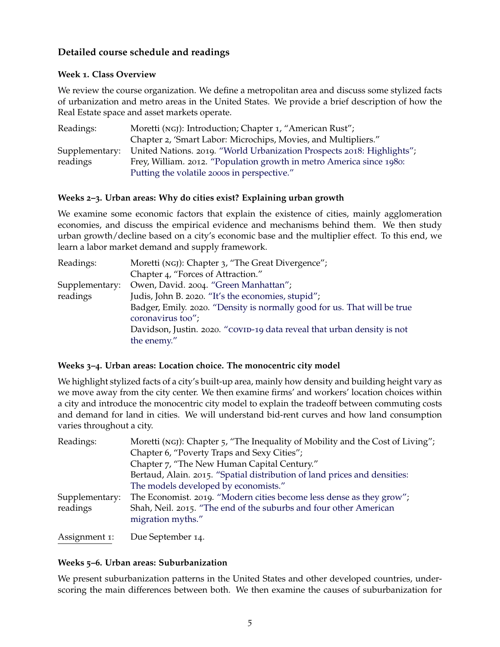# **Detailed course schedule and readings**

# **Week 1. Class Overview**

We review the course organization. We define a metropolitan area and discuss some stylized facts of urbanization and metro areas in the United States. We provide a brief description of how the Real Estate space and asset markets operate.

| Readings:      | Moretti (NGJ): Introduction; Chapter 1, "American Rust";               |
|----------------|------------------------------------------------------------------------|
|                | Chapter 2, 'Smart Labor: Microchips, Movies, and Multipliers."         |
| Supplementary: | United Nations. 2019. "World Urbanization Prospects 2018: Highlights"; |
| readings       | Frey, William. 2012. "Population growth in metro America since 1980:   |
|                | Putting the volatile 2000s in perspective."                            |

# **Weeks 2–3. Urban areas: Why do cities exist? Explaining urban growth**

We examine some economic factors that explain the existence of cities, mainly agglomeration economies, and discuss the empirical evidence and mechanisms behind them. We then study urban growth/decline based on a city's economic base and the multiplier effect. To this end, we learn a labor market demand and supply framework.

| Readings:      | Moretti (NGJ): Chapter 3, "The Great Divergence";                        |
|----------------|--------------------------------------------------------------------------|
|                | Chapter 4, "Forces of Attraction."                                       |
| Supplementary: | Owen, David. 2004. "Green Manhattan";                                    |
| readings       | Judis, John B. 2020. "It's the economies, stupid";                       |
|                | Badger, Emily. 2020. "Density is normally good for us. That will be true |
|                | coronavirus too";                                                        |
|                | Davidson, Justin. 2020. "COVID-19 data reveal that urban density is not  |
|                | the enemy."                                                              |

# **Weeks 3–4. Urban areas: Location choice. The monocentric city model**

We highlight stylized facts of a city's built-up area, mainly how density and building height vary as we move away from the city center. We then examine firms' and workers' location choices within a city and introduce the monocentric city model to explain the tradeoff between commuting costs and demand for land in cities. We will understand bid-rent curves and how land consumption varies throughout a city.

| Readings:      | Moretti (NGJ): Chapter 5, "The Inequality of Mobility and the Cost of Living";         |
|----------------|----------------------------------------------------------------------------------------|
|                | Chapter 6, "Poverty Traps and Sexy Cities";                                            |
|                | Chapter 7, "The New Human Capital Century."                                            |
|                | Bertaud, Alain. 2015. "Spatial distribution of land prices and densities:              |
|                | The models developed by economists."                                                   |
| Supplementary: | The Economist. 2019. "Modern cities become less dense as they grow";                   |
| readings       | Shah, Neil. 2015. "The end of the suburbs and four other American<br>migration myths." |
|                |                                                                                        |
| Assignment 1:  | Due September 14.                                                                      |

# **Weeks 5–6. Urban areas: Suburbanization**

We present suburbanization patterns in the United States and other developed countries, underscoring the main differences between both. We then examine the causes of suburbanization for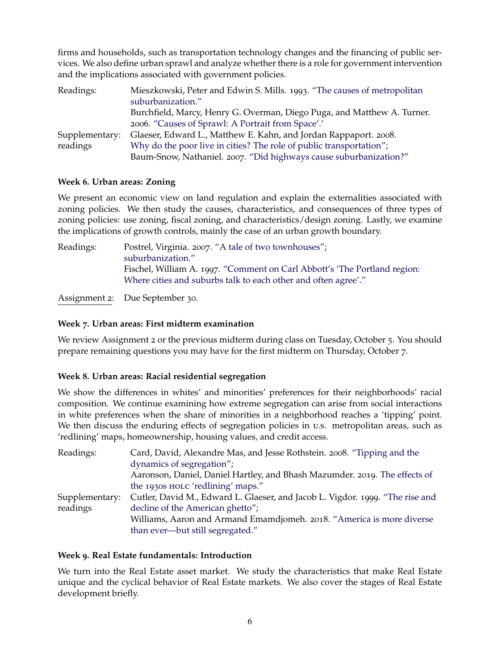firms and households, such as transportation technology changes and the financing of public services. We also define urban sprawl and analyze whether there is a role for government intervention and the implications associated with government policies.

| Readings:      | Mieszkowski, Peter and Edwin S. Mills. 1993. "The causes of metropolitan |
|----------------|--------------------------------------------------------------------------|
|                | suburbanization."                                                        |
|                | Burchfield, Marcy, Henry G. Overman, Diego Puga, and Matthew A. Turner.  |
|                | 2006. "Causes of Sprawl: A Portrait from Space".                         |
| Supplementary: | Glaeser, Edward L., Matthew E. Kahn, and Jordan Rappaport. 2008.         |
| readings       | Why do the poor live in cities? The role of public transportation";      |
|                | Baum-Snow, Nathaniel. 2007. "Did highways cause suburbanization?"        |

# **Week 6. Urban areas: Zoning**

We present an economic view on land regulation and explain the externalities associated with zoning policies. We then study the causes, characteristics, and consequences of three types of zoning policies: use zoning, fiscal zoning, and characteristics/design zoning. Lastly, we examine the implications of growth controls, mainly the case of an urban growth boundary.

Readings: Postrel, Virginia. 2007. ["A tale of two townhouses";](http://www.theatlantic.com/magazine/archive/2007/11/a-tale-of-two-townhouses/306334/) [suburbanization."](https://pubs.aeaweb.org/doi/pdfplus/10.1257/jep.7.3.135) Fischel, William A. 1997. ["Comment on Carl Abbott's 'The Portland region:](https://www.tandfonline.com/doi/abs/10.1080/10511482.1997.9521247) [Where cities and suburbs talk to each other and often agree'."](https://www.tandfonline.com/doi/abs/10.1080/10511482.1997.9521247)

Assignment 2: Due September 30.

# **Week 7. Urban areas: First midterm examination**

We review Assignment 2 or the previous midterm during class on Tuesday, October 5. You should prepare remaining questions you may have for the first midterm on Thursday, October 7.

# **Week 8. Urban areas: Racial residential segregation**

We show the differences in whites' and minorities' preferences for their neighborhoods' racial composition. We continue examining how extreme segregation can arise from social interactions in white preferences when the share of minorities in a neighborhood reaches a 'tipping' point. We then discuss the enduring effects of segregation policies in u.s. metropolitan areas, such as 'redlining' maps, homeownership, housing values, and credit access.

| Readings:      | Card, David, Alexandre Mas, and Jesse Rothstein. 2008. "Tipping and the       |
|----------------|-------------------------------------------------------------------------------|
|                | dynamics of segregation";                                                     |
|                | Aaronson, Daniel, Daniel Hartley, and Bhash Mazumder. 2019. The effects of    |
|                | the 1930s HOLC 'redlining' maps."                                             |
| Supplementary: | Cutler, David M., Edward L. Glaeser, and Jacob L. Vigdor. 1999. "The rise and |
| readings       | decline of the American ghetto";                                              |
|                | Williams, Aaron and Armand Emamdjomeh. 2018. "America is more diverse         |
|                | than ever-but still segregated."                                              |

# **Week 9. Real Estate fundamentals: Introduction**

We turn into the Real Estate asset market. We study the characteristics that make Real Estate unique and the cyclical behavior of Real Estate markets. We also cover the stages of Real Estate development briefly.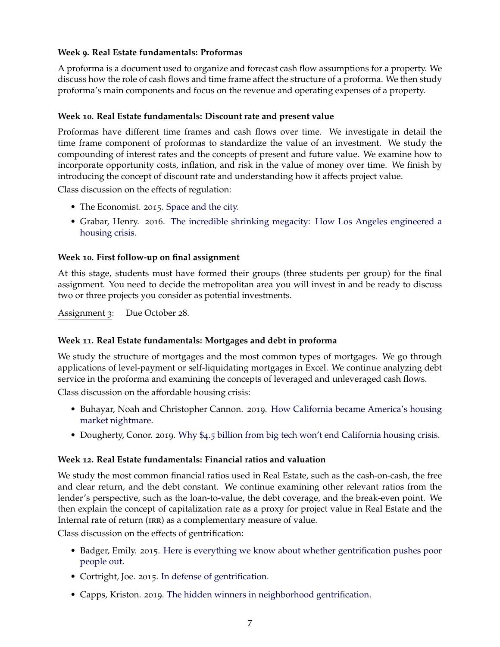# **Week 9. Real Estate fundamentals: Proformas**

A proforma is a document used to organize and forecast cash flow assumptions for a property. We discuss how the role of cash flows and time frame affect the structure of a proforma. We then study proforma's main components and focus on the revenue and operating expenses of a property.

### **Week 10. Real Estate fundamentals: Discount rate and present value**

Proformas have different time frames and cash flows over time. We investigate in detail the time frame component of proformas to standardize the value of an investment. We study the compounding of interest rates and the concepts of present and future value. We examine how to incorporate opportunity costs, inflation, and risk in the value of money over time. We finish by introducing the concept of discount rate and understanding how it affects project value.

Class discussion on the effects of regulation:

- The Economist. 2015. [Space and the city.](https://www.economist.com/leaders/2015/04/04/space-and-the-city)
- Grabar, Henry. 2016. [The incredible shrinking megacity: How Los Angeles engineered a](https://www.salon.com/test2/2015/04/05/the_incredible_shrinking_megacity_how_los_angeles_enginereed_a_housing_crisis/?utm_source=Furman+Center+Mailing+List&utm_campaign=1f3e6112c4-Housing_Starts_Aug_29&utm_medium=email&utm_term=0_ea37468da6-1f3e6112c4-173375893) [housing crisis.](https://www.salon.com/test2/2015/04/05/the_incredible_shrinking_megacity_how_los_angeles_enginereed_a_housing_crisis/?utm_source=Furman+Center+Mailing+List&utm_campaign=1f3e6112c4-Housing_Starts_Aug_29&utm_medium=email&utm_term=0_ea37468da6-1f3e6112c4-173375893)

### **Week 10. First follow-up on final assignment**

At this stage, students must have formed their groups (three students per group) for the final assignment. You need to decide the metropolitan area you will invest in and be ready to discuss two or three projects you consider as potential investments.

Assignment 3: Due October 28.

#### **Week 11. Real Estate fundamentals: Mortgages and debt in proforma**

We study the structure of mortgages and the most common types of mortgages. We go through applications of level-payment or self-liquidating mortgages in Excel. We continue analyzing debt service in the proforma and examining the concepts of leveraged and unleveraged cash flows.

Class discussion on the affordable housing crisis:

- Buhayar, Noah and Christopher Cannon. 2019. [How California became America's housing](https://www.bloomberg.com/graphics/2019-california-housing-crisis/?fbclid=IwAR2_0tO9CG4lZoDLqcNckKQNjeKJGsNCrxI2mBP30bF-GAyYfy3-KRGxkfI) [market nightmare.](https://www.bloomberg.com/graphics/2019-california-housing-crisis/?fbclid=IwAR2_0tO9CG4lZoDLqcNckKQNjeKJGsNCrxI2mBP30bF-GAyYfy3-KRGxkfI)
- Dougherty, Conor. 2019. Why \$4.5 [billion from big tech won't end California housing crisis.](https://www.nytimes.com/2019/11/06/business/economy/california-housing-apple.html?fbclid=IwAR2R3l1kpuIRkXp3TaOm1j6N-VsVGTQwt-74vghkqefkSMNIubnbIVEv4g4)

#### **Week 12. Real Estate fundamentals: Financial ratios and valuation**

We study the most common financial ratios used in Real Estate, such as the cash-on-cash, the free and clear return, and the debt constant. We continue examining other relevant ratios from the lender's perspective, such as the loan-to-value, the debt coverage, and the break-even point. We then explain the concept of capitalization rate as a proxy for project value in Real Estate and the Internal rate of return (IRR) as a complementary measure of value.

Class discussion on the effects of gentrification:

- Badger, Emily. 2015. [Here is everything we know about whether gentrification pushes poor](https://www.washingtonpost.com/news/wonk/wp/2015/09/14/here-is-everything-we-know-about-whether-gentrification-pushes-people-out/) [people out.](https://www.washingtonpost.com/news/wonk/wp/2015/09/14/here-is-everything-we-know-about-whether-gentrification-pushes-people-out/)
- Cortright, Joe. 2015. [In defense of gentrification.](https://www.theatlantic.com/business/archive/2015/10/in-defense-of-gentrification/413425/)
- Capps, Kriston. 2019. [The hidden winners in neighborhood gentrification.](https://www.bloomberg.com/news/articles/2019-07-16/the-hidden-winners-in-neighborhood-gentrification)